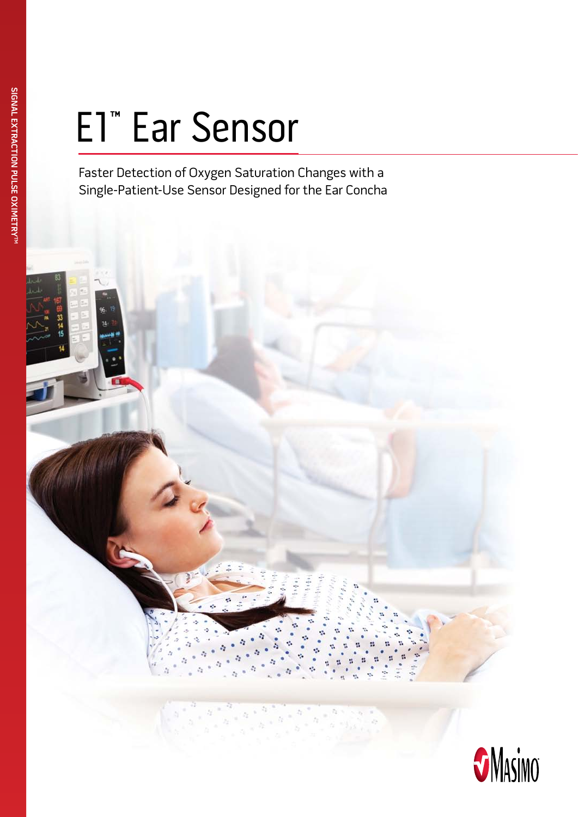# E1™ Ear Sensor

Faster Detection of Oxygen Saturation Changes with a Single-Patient-Use Sensor Designed for the Ear Concha

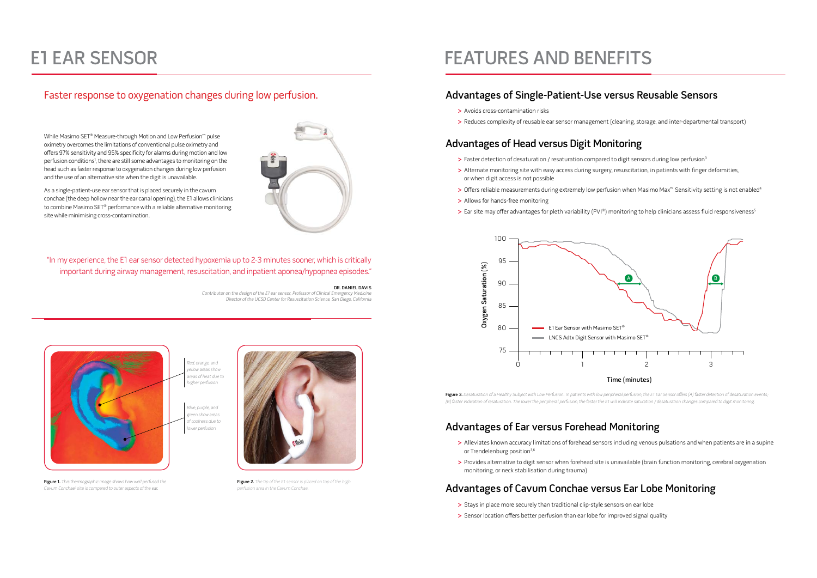### Advantages of Single-Patient-Use versus Reusable Sensors

- **>** Avoids cross-contamination risks
- **>** Reduces complexity of reusable ear sensor management (cleaning, storage, and inter-departmental transport)

# Advantages of Head versus Digit Monitoring

- > Faster detection of desaturation / resaturation compared to digit sensors during low perfusion<sup>3</sup>
- **>** Alternate monitoring site with easy access during surgery, resuscitation, in patients with finger deformities, or when digit access is not possible
- > Offers reliable measurements during extremely low perfusion when Masimo Max<sup>™</sup> Sensitivity setting is not enabled<sup>4</sup>
- **>** Allows for hands-free monitoring
- > Ear site may offer advantages for pleth variability (PVI®) monitoring to help clinicians assess fluid responsiveness<sup>5</sup>

Figure 3. Desaturation of a Healthy Subject with Low Perfusion. In patients with low peripheral perfusion, the E1 Ear Sensor offers (A) faster detection of desaturation events; (B) faster indication of resaturation. The lower the peripheral perfusion, the faster the E1 will indicate saturation / desaturation changes compared to digit monitoring.

## Advantages of Ear versus Forehead Monitoring

- **>** Alleviates known accuracy limitations of forehead sensors including venous pulsations and when patients are in a supine or Trendelenburg position<sup>3,6</sup>
- **>** Provides alternative to digit sensor when forehead site is unavailable (brain function monitoring, cerebral oxygenation monitoring, or neck stabilisation during trauma)

# Advantages of Cavum Conchae versus Ear Lobe Monitoring



Figure 2. The tip of the E1 sensor is placed on top of the high perfusion area in the Cavum Conchae.

# FEATURES AND BENEFITS

- **>** Stays in place more securely than traditional clip-style sensors on ear lobe
- **>** Sensor location offers better perfusion than ear lobe for improved signal quality



"In my experience, the E1 ear sensor detected hypoxemia up to 2-3 minutes sooner, which is critically important during airway management, resuscitation, and inpatient aponea/hypopnea episodes."

#### Dr. Daniel Davis

Contributor on the design of the E1 ear sensor, Professor of Clinical Emergency Medicine Director of the UCSD Center for Resuscitation Science, San Diego, California



Figure 1. This thermographic image shows how well perfused the Cavum Conchae<sup>2</sup> site is compared to outer aspects of the ear.

### Faster response to oxygenation changes during low perfusion.

# E1 Ear Sensor

While Masimo SET® Measure-through Motion and Low Perfusion™ pulse oximetry overcomes the limitations of conventional pulse oximetry and offers 97% sensitivity and 95% specificity for alarms during motion and low perfusion conditions<sup>1</sup>, there are still some advantages to monitoring on the head such as faster response to oxygenation changes during low perfusion and the use of an alternative site when the digit is unavailable.

As a single-patient-use ear sensor that is placed securely in the cavum conchae (the deep hollow near the ear canal opening), the E1 allows clinicians to combine Masimo SET® performance with a reliable alternative monitoring site while minimising cross-contamination.

> Red, orange, and ellow areas show areas of heat due to higher perfusion

Blue, purple, and green show areas of coolness due to lower perfusion



#### Time (minutes)